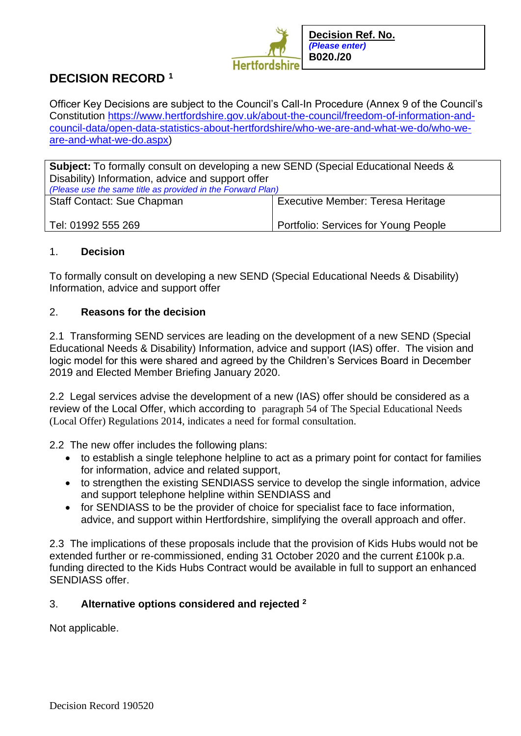

# **DECISION RECORD <sup>1</sup>**

Officer Key Decisions are subject to the Council's Call-In Procedure (Annex 9 of the Council's Constitution [https://www.hertfordshire.gov.uk/about-the-council/freedom-of-information-and](https://www.hertfordshire.gov.uk/about-the-council/freedom-of-information-and-council-data/open-data-statistics-about-hertfordshire/who-we-are-and-what-we-do/who-we-are-and-what-we-do.aspx)[council-data/open-data-statistics-about-hertfordshire/who-we-are-and-what-we-do/who-we](https://www.hertfordshire.gov.uk/about-the-council/freedom-of-information-and-council-data/open-data-statistics-about-hertfordshire/who-we-are-and-what-we-do/who-we-are-and-what-we-do.aspx)[are-and-what-we-do.aspx\)](https://www.hertfordshire.gov.uk/about-the-council/freedom-of-information-and-council-data/open-data-statistics-about-hertfordshire/who-we-are-and-what-we-do/who-we-are-and-what-we-do.aspx)

**Subject:** To formally consult on developing a new SEND (Special Educational Needs & Disability) Information, advice and support offer *(Please use the same title as provided in the Forward Plan)* Staff Contact: Sue Chapman Executive Member: Teresa Heritage

Tel: 01992 555 269

Portfolio: Services for Young People

# 1. **Decision**

To formally consult on developing a new SEND (Special Educational Needs & Disability) Information, advice and support offer

## 2. **Reasons for the decision**

2.1 Transforming SEND services are leading on the development of a new SEND (Special Educational Needs & Disability) Information, advice and support (IAS) offer. The vision and logic model for this were shared and agreed by the Children's Services Board in December 2019 and Elected Member Briefing January 2020.

2.2 Legal services advise the development of a new (IAS) offer should be considered as a review of the Local Offer, which according to paragraph 54 of The Special Educational Needs (Local Offer) Regulations 2014, indicates a need for formal consultation.

2.2 The new offer includes the following plans:

- to establish a single telephone helpline to act as a primary point for contact for families for information, advice and related support,
- to strengthen the existing SENDIASS service to develop the single information, advice and support telephone helpline within SENDIASS and
- for SENDIASS to be the provider of choice for specialist face to face information, advice, and support within Hertfordshire, simplifying the overall approach and offer.

2.3 The implications of these proposals include that the provision of Kids Hubs would not be extended further or re-commissioned, ending 31 October 2020 and the current £100k p.a. funding directed to the Kids Hubs Contract would be available in full to support an enhanced SENDIASS offer.

## 3. **Alternative options considered and rejected <sup>2</sup>**

Not applicable.